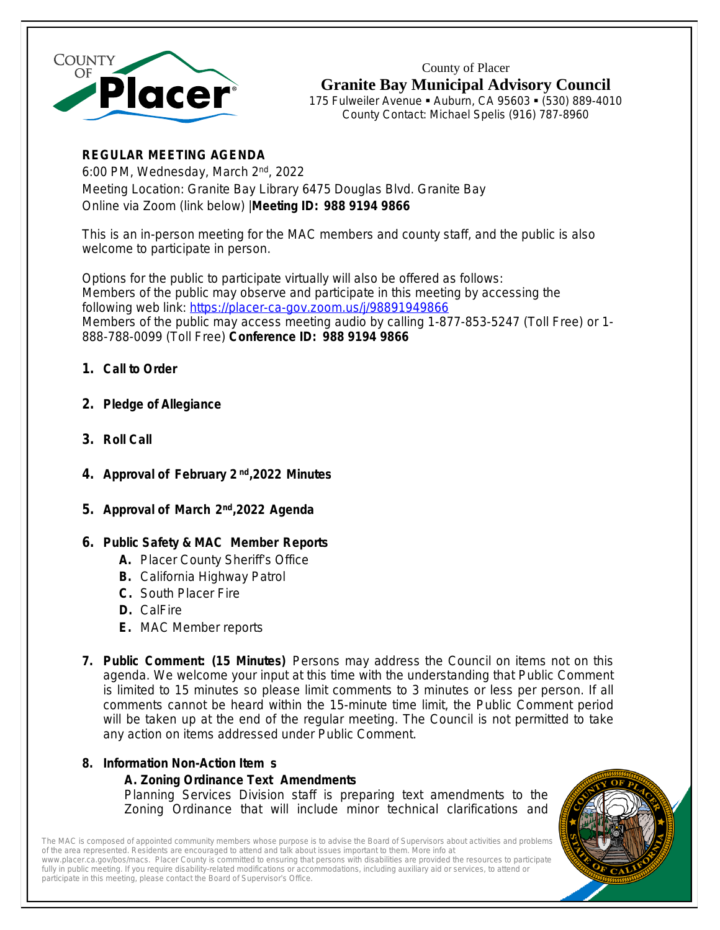

County of Placer **Granite Bay Municipal Advisory Council**

175 Fulweiler Avenue · Auburn, CA 95603 · (530) 889-4010 County Contact: Michael Spelis (916) 787-8960

# **REGULAR MEETING AGENDA**

6:00 PM, Wednesday, March 2<sup>nd</sup>, 2022 Meeting Location: Granite Bay Library 6475 Douglas Blvd. Granite Bay Online via Zoom (link below) |**Meeting ID: 988 9194 9866**

This is an in-person meeting for the MAC members and county staff, and the public is also welcome to participate in person.

Options for the public to participate virtually will also be offered as follows: Members of the public may observe and participate in this meeting by accessing the following web link: https://placer-ca-gov.zoom.us/j/98891949866 Members of the public may access meeting audio by calling [1-877-853-5247](https://placer-ca-gov.zoom.us/j/98625978192) (Toll Free) or 1- [888-788-0099 \(Toll Free\)](https://placer-ca-gov.zoom.us/j/98625978192) **[Conference ID: 988 9194 9866](https://placer-ca-gov.zoom.us/j/98625978192)**

- **1. [Call to Order](https://placer-ca-gov.zoom.us/j/98625978192)**
- **2. [Pledge of Allegiance](https://placer-ca-gov.zoom.us/j/98625978192)**
- **3. [Roll Call](https://placer-ca-gov.zoom.us/j/98625978192)**
- **4. [Approval of February 2](https://placer-ca-gov.zoom.us/j/98625978192) [nd](https://placer-ca-gov.zoom.us/j/98625978192)[,2022](https://placer-ca-gov.zoom.us/j/98625978192) [Minutes](https://placer-ca-gov.zoom.us/j/98625978192)**
- 5. [Approval of March](https://placer-ca-gov.zoom.us/j/98625978192) [2](https://placer-ca-gov.zoom.us/j/98625978192)<sup>[nd](https://placer-ca-gov.zoom.us/j/98625978192)</sup>[,2022](https://placer-ca-gov.zoom.us/j/98625978192) [Agenda](https://placer-ca-gov.zoom.us/j/98625978192)
- **6. [Public Safety & MAC Member Reports](https://placer-ca-gov.zoom.us/j/98625978192)**
	- **A.** [Placer County Sheriff](https://placer-ca-gov.zoom.us/j/98625978192)'s Office
	- **B.** [California Highway Patrol](https://placer-ca-gov.zoom.us/j/98625978192)
	- **C.** [South Placer Fire](https://placer-ca-gov.zoom.us/j/98625978192)
	- **D.** [CalFire](https://placer-ca-gov.zoom.us/j/98625978192)
	- **E.** [MAC Member reports](https://placer-ca-gov.zoom.us/j/98625978192)
- **7. [P](https://placer-ca-gov.zoom.us/j/98625978192)ublic [Comment:](https://placer-ca-gov.zoom.us/j/98625978192) (15 Minutes)** [Persons](https://placer-ca-gov.zoom.us/j/98625978192) may address the Council on items not on this [agenda.](https://placer-ca-gov.zoom.us/j/98625978192) We welcome your input at this time with the [understanding](https://placer-ca-gov.zoom.us/j/98625978192) that Public [Comment](https://placer-ca-gov.zoom.us/j/98625978192) is limited to 15 minutes so please limit [comments](https://placer-ca-gov.zoom.us/j/98625978192) to 3 minutes or [less](https://placer-ca-gov.zoom.us/j/98625978192) per [person.](https://placer-ca-gov.zoom.us/j/98625978192) If all [comments](https://placer-ca-gov.zoom.us/j/98625978192) cannot be heard within the 15-minute time limit, the Public Comment period will be taken up at the end of the regular meeting. The Council is not [permitted](https://placer-ca-gov.zoom.us/j/98625978192) to take [any action on items addressed under Public Comment.](https://placer-ca-gov.zoom.us/j/98625978192)
- **8. [Information Non-Action Item](https://placer-ca-gov.zoom.us/j/98625978192) [s](https://placer-ca-gov.zoom.us/j/98625978192)**

## **[A. Zoning Ordinance Text Amendments](https://placer-ca-gov.zoom.us/j/98625978192)**

Planning Services Division staff is preparing text [amendments](https://placer-ca-gov.zoom.us/j/98625978192) to the Zoning Ordinance that will include minor technical [clarifications](https://placer-ca-gov.zoom.us/j/98625978192) and

The MAC is composed of appointed community members whose purpose is to advise the Board of Supervisors about activities and problems of the area represented. Residents are encouraged to attend and talk about issues important to them. More info at [www.placer.ca.gov/bos/macs](http://www.placer.ca.gov/bos/macs). Placer County is committed to ensuring that persons with disabilities are provided the resources to participate fully in public meeting. If you require disability-related modifications or accommodations, including auxiliary aid or services, to attend or participate in this meeting, please contact the Board of Supervisor's Office.